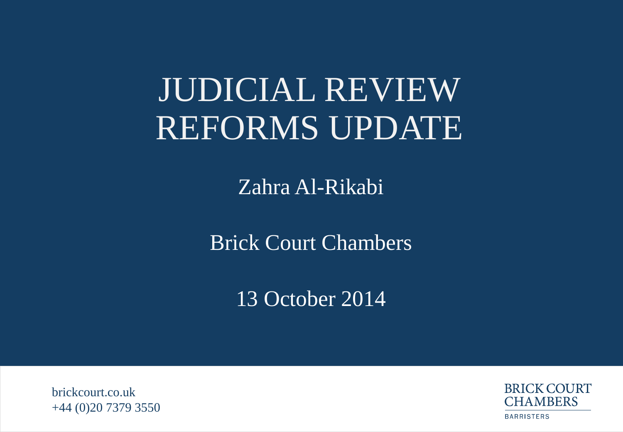# JUDICIAL REVIEW REFORMS UPDATE

Zahra Al-Rikabi

Brick Court Chambers

13 October 2014

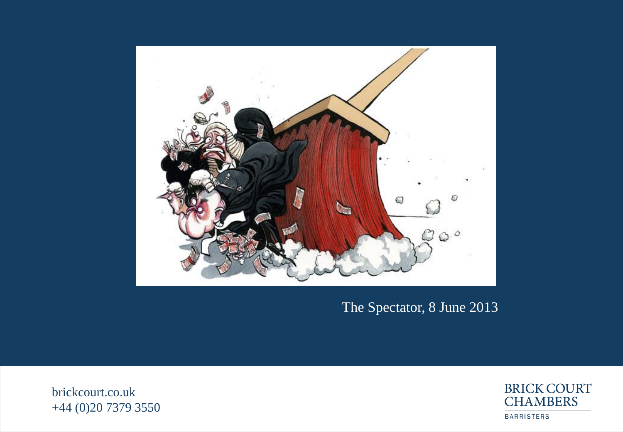

#### The Spectator, 8 June 2013

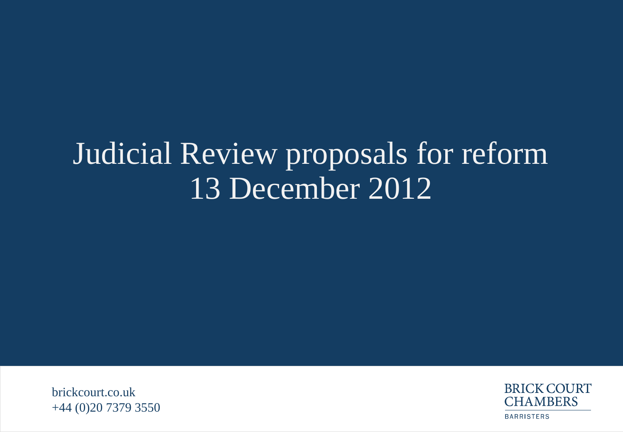## Judicial Review proposals for reform 13 December 2012

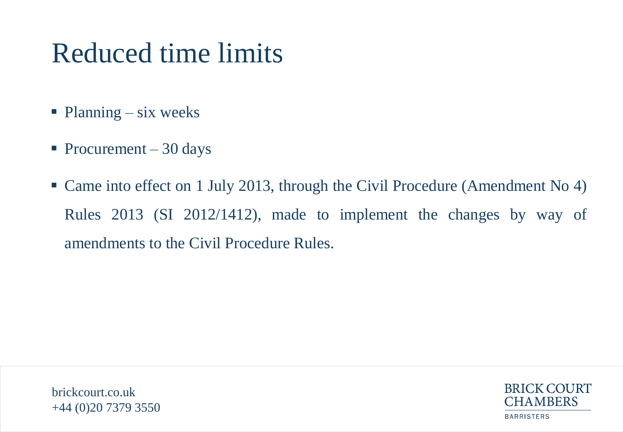## Reduced time limits

- $\blacksquare$  Planning six weeks
- Procurement  $-30$  days
- Came into effect on 1 July 2013, through the Civil Procedure (Amendment No 4) Rules 2013 (SI 2012/1412), made to implement the changes by way of amendments to the Civil Procedure Rules.

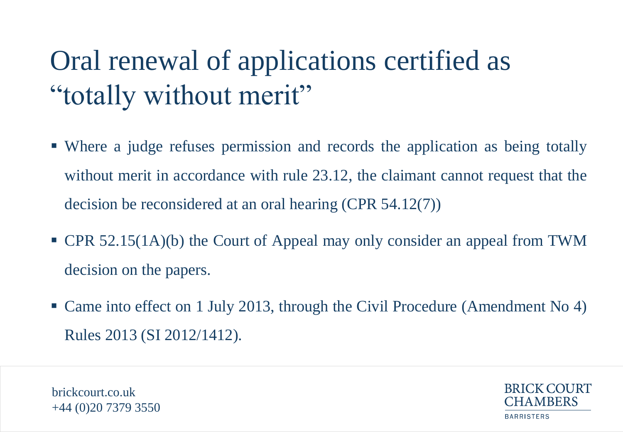# Oral renewal of applications certified as "totally without merit"

- Where a judge refuses permission and records the application as being totally without merit in accordance with rule 23.12, the claimant cannot request that the decision be reconsidered at an oral hearing (CPR 54.12(7))
- CPR 52.15(1A)(b) the Court of Appeal may only consider an appeal from TWM decision on the papers.
- Came into effect on 1 July 2013, through the Civil Procedure (Amendment No 4) Rules 2013 (SI 2012/1412).

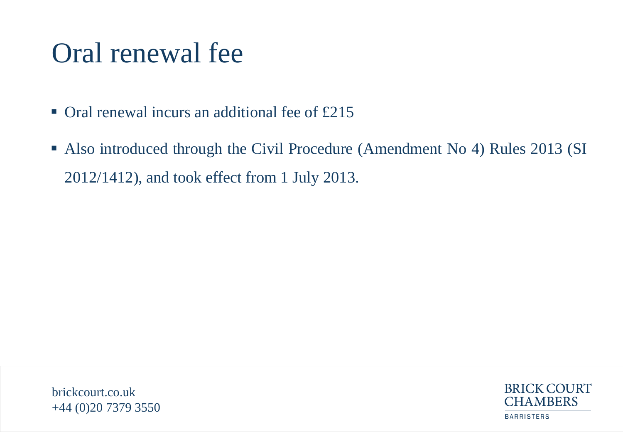## Oral renewal fee

- $\blacksquare$  Oral renewal incurs an additional fee of £215
- Also introduced through the Civil Procedure (Amendment No 4) Rules 2013 (SI 2012/1412), and took effect from 1 July 2013.

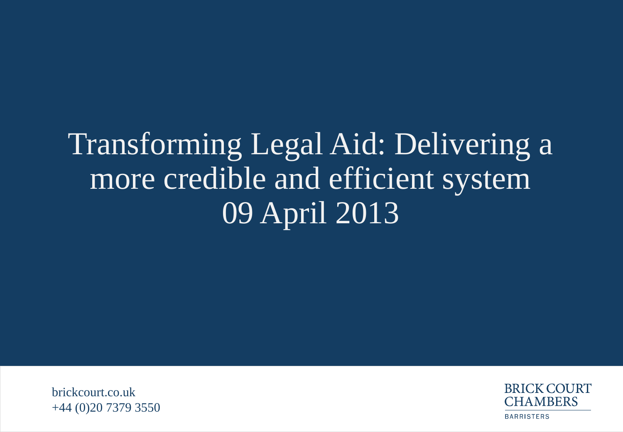# Transforming Legal Aid: Delivering a more credible and efficient system 09 April 2013

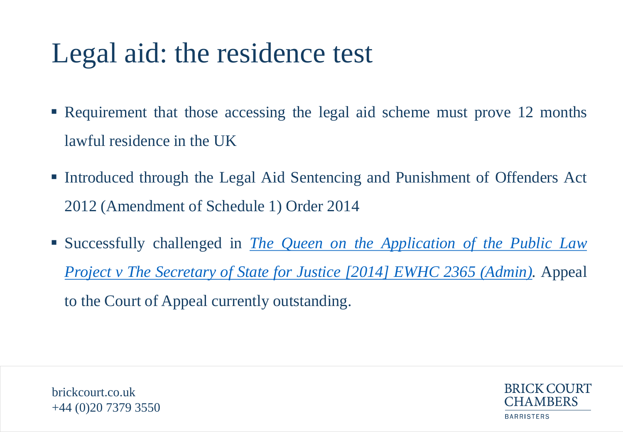## Legal aid: the residence test

- Requirement that those accessing the legal aid scheme must prove 12 months lawful residence in the UK
- Introduced through the Legal Aid Sentencing and Punishment of Offenders Act 2012 (Amendment of Schedule 1) Order 2014
- Successfully challenged in *[The](http://www.judiciary.gov.uk/wp-content/uploads/2014/07/plp-v-ssj-and-other.pdf) [Queen](http://www.judiciary.gov.uk/wp-content/uploads/2014/07/plp-v-ssj-and-other.pdf) [on](http://www.judiciary.gov.uk/wp-content/uploads/2014/07/plp-v-ssj-and-other.pdf) [the](http://www.judiciary.gov.uk/wp-content/uploads/2014/07/plp-v-ssj-and-other.pdf) [Application](http://www.judiciary.gov.uk/wp-content/uploads/2014/07/plp-v-ssj-and-other.pdf) [of](http://www.judiciary.gov.uk/wp-content/uploads/2014/07/plp-v-ssj-and-other.pdf) [the](http://www.judiciary.gov.uk/wp-content/uploads/2014/07/plp-v-ssj-and-other.pdf) [Public](http://www.judiciary.gov.uk/wp-content/uploads/2014/07/plp-v-ssj-and-other.pdf) [Law](http://www.judiciary.gov.uk/wp-content/uploads/2014/07/plp-v-ssj-and-other.pdf) [Project](http://www.judiciary.gov.uk/wp-content/uploads/2014/07/plp-v-ssj-and-other.pdf) [v](http://www.judiciary.gov.uk/wp-content/uploads/2014/07/plp-v-ssj-and-other.pdf) [The](http://www.judiciary.gov.uk/wp-content/uploads/2014/07/plp-v-ssj-and-other.pdf) [Secretary](http://www.judiciary.gov.uk/wp-content/uploads/2014/07/plp-v-ssj-and-other.pdf) [of](http://www.judiciary.gov.uk/wp-content/uploads/2014/07/plp-v-ssj-and-other.pdf) [State](http://www.judiciary.gov.uk/wp-content/uploads/2014/07/plp-v-ssj-and-other.pdf) [for](http://www.judiciary.gov.uk/wp-content/uploads/2014/07/plp-v-ssj-and-other.pdf) [Justice](http://www.judiciary.gov.uk/wp-content/uploads/2014/07/plp-v-ssj-and-other.pdf) [\[2014\]](http://www.judiciary.gov.uk/wp-content/uploads/2014/07/plp-v-ssj-and-other.pdf) [EWHC](http://www.judiciary.gov.uk/wp-content/uploads/2014/07/plp-v-ssj-and-other.pdf) [2365](http://www.judiciary.gov.uk/wp-content/uploads/2014/07/plp-v-ssj-and-other.pdf) [\(Admin\).](http://www.judiciary.gov.uk/wp-content/uploads/2014/07/plp-v-ssj-and-other.pdf)* Appeal to the Court of Appeal currently outstanding.

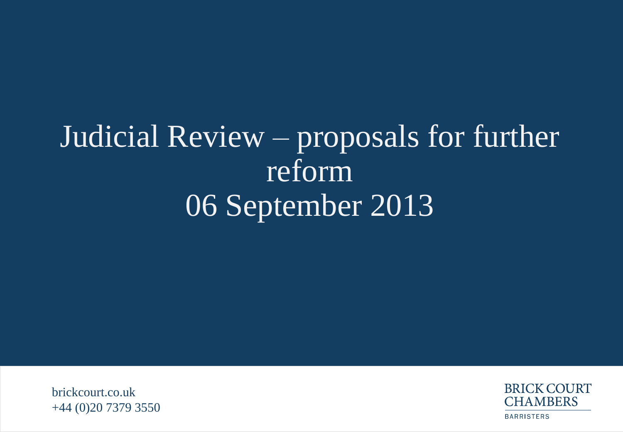# Judicial Review – proposals for further reform 06 September 2013

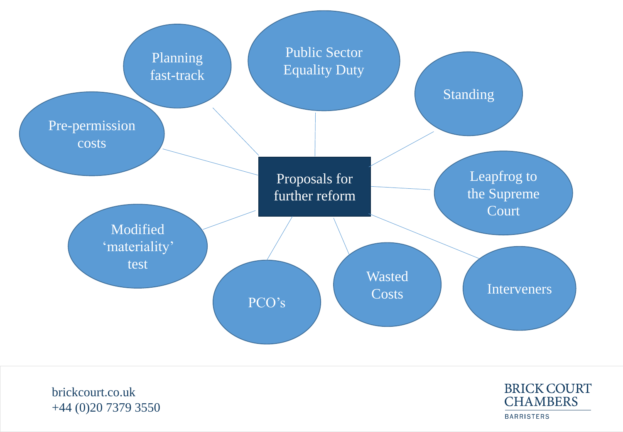

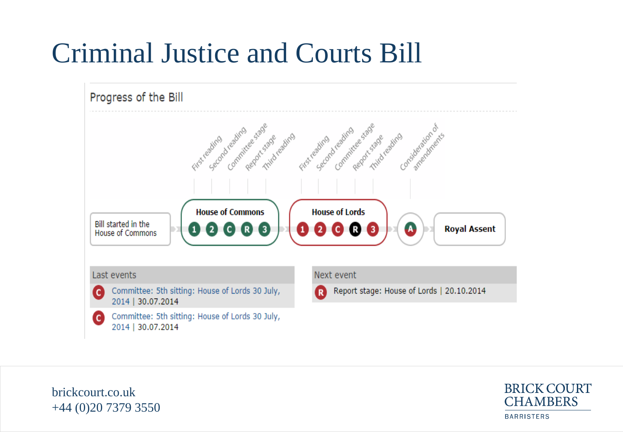## Criminal Justice and Courts Bill



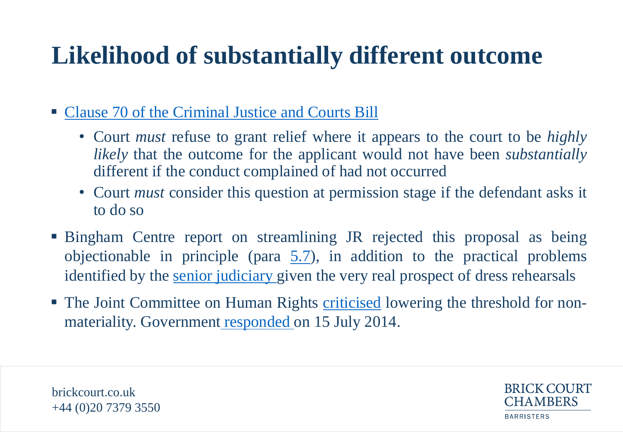### **Likelihood of substantially different outcome**

- [Clause](http://www.publications.parliament.uk/pa/bills/lbill/2014-2015/0043/lbill_2014-20150043_en_8.htm) [70](http://www.publications.parliament.uk/pa/bills/lbill/2014-2015/0043/lbill_2014-20150043_en_8.htm) [of](http://www.publications.parliament.uk/pa/bills/lbill/2014-2015/0043/lbill_2014-20150043_en_8.htm) [the](http://www.publications.parliament.uk/pa/bills/lbill/2014-2015/0043/lbill_2014-20150043_en_8.htm) [Criminal](http://www.publications.parliament.uk/pa/bills/lbill/2014-2015/0043/lbill_2014-20150043_en_8.htm) [Justice](http://www.publications.parliament.uk/pa/bills/lbill/2014-2015/0043/lbill_2014-20150043_en_8.htm) [and](http://www.publications.parliament.uk/pa/bills/lbill/2014-2015/0043/lbill_2014-20150043_en_8.htm) [Courts](http://www.publications.parliament.uk/pa/bills/lbill/2014-2015/0043/lbill_2014-20150043_en_8.htm) [Bill](http://www.publications.parliament.uk/pa/bills/lbill/2014-2015/0043/lbill_2014-20150043_en_8.htm)
	- Court *must* refuse to grant relief where it appears to the court to be *highly likely* that the outcome for the applicant would not have been *substantially* different if the conduct complained of had not occurred
	- Court *must* consider this question at permission stage if the defendant asks it to do so
- Bingham Centre report on streamlining JR rejected this proposal as being objectionable in principle (para  $5.7$ ), in addition to the practical problems identified by the [senior](http://www.judiciary.gov.uk/wp-content/uploads/JCO/Documents/Consultations/jr-phaseii-public-consultation-judicial-response.pdf) [judiciary](http://www.judiciary.gov.uk/wp-content/uploads/JCO/Documents/Consultations/jr-phaseii-public-consultation-judicial-response.pdf) given the very real prospect of dress rehearsals
- The Joint Committee on Human Rights [criticised](http://www.publications.parliament.uk/pa/jt201314/jtselect/jtrights/174/17405.htm) lowering the threshold for nonmateriality. Governmen[t](http://www.parliament.uk/documents/joint-committees/human-rights/Cm8896_Draft JCHR Response_110714_FINAL_WEB.PDF) [responded](http://www.parliament.uk/documents/joint-committees/human-rights/Cm8896_Draft JCHR Response_110714_FINAL_WEB.PDF) on 15 July 2014.



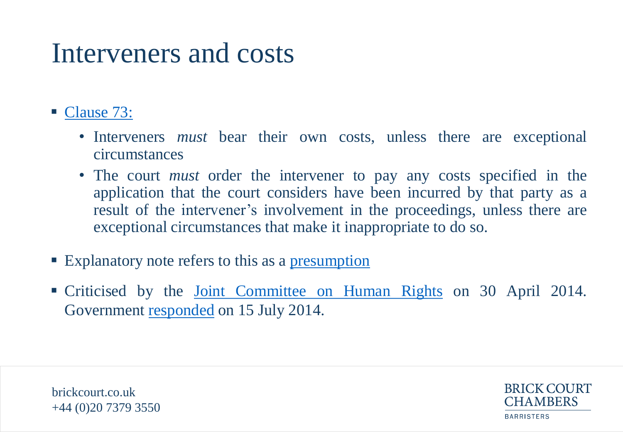### Interveners and costs

- [Clause](http://www.publications.parliament.uk/pa/bills/lbill/2014-2015/0043/lbill_2014-20150043_en_9.htm) [73:](http://www.publications.parliament.uk/pa/bills/lbill/2014-2015/0043/lbill_2014-20150043_en_9.htm)
	- Interveners *must* bear their own costs, unless there are exceptional circumstances
	- The court *must* order the intervener to pay any costs specified in the application that the court considers have been incurred by that party as a result of the intervener's involvement in the proceedings, unless there are exceptional circumstances that make it inappropriate to do so.
- **Explanatory note refers to this as a [presumption](http://www.publications.parliament.uk/pa/bills/lbill/2014-2015/0030/en/15030en.htm)**
- Criticised by the <u>[Joint](http://www.publications.parliament.uk/pa/jt201314/jtselect/jtrights/174/17407.htm) [Committee](http://www.publications.parliament.uk/pa/jt201314/jtselect/jtrights/174/17407.htm) [on](http://www.publications.parliament.uk/pa/jt201314/jtselect/jtrights/174/17407.htm) [Human](http://www.publications.parliament.uk/pa/jt201314/jtselect/jtrights/174/17407.htm) [Rights](http://www.publications.parliament.uk/pa/jt201314/jtselect/jtrights/174/17407.htm)</u> on 30 April 2014. Government [responded](http://www.parliament.uk/documents/joint-committees/human-rights/Cm8896_Draft JCHR Response_110714_FINAL_WEB.PDF) on 15 July 2014.

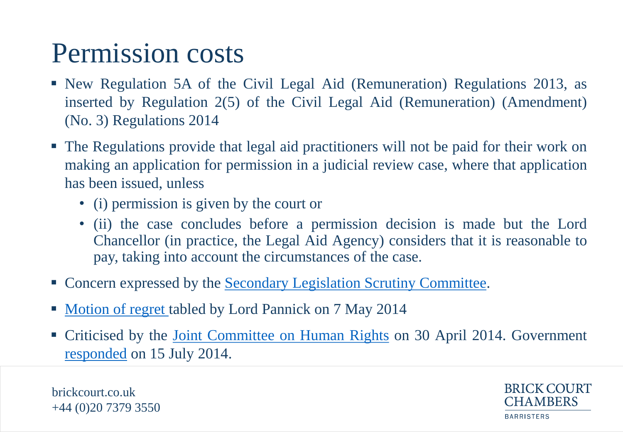### Permission costs

- New Regulation 5A of the Civil Legal Aid (Remuneration) Regulations 2013, as inserted by Regulation 2(5) of the Civil Legal Aid (Remuneration) (Amendment) (No. 3) Regulations 2014
- The Regulations provide that legal aid practitioners will not be paid for their work on making an application for permission in a judicial review case, where that application has been issued, unless
	- (i) permission is given by the court or
	- (ii) the case concludes before a permission decision is made but the Lord Chancellor (in practice, the Legal Aid Agency) considers that it is reasonable to pay, taking into account the circumstances of the case.
- Concern expressed by the [Secondary](http://www.publications.parliament.uk/pa/ld201314/ldselect/ldsecleg/157/15703.htm) [Legislation](http://www.publications.parliament.uk/pa/ld201314/ldselect/ldsecleg/157/15703.htm) [Scrutiny](http://www.publications.parliament.uk/pa/ld201314/ldselect/ldsecleg/157/15703.htm) [Committee](http://www.publications.parliament.uk/pa/ld201314/ldselect/ldsecleg/157/15703.htm).
- [Motion](http://www.theyworkforyou.com/lords/?id=2014-05-07a.1540.0) [of](http://www.theyworkforyou.com/lords/?id=2014-05-07a.1540.0) [regret](http://www.theyworkforyou.com/lords/?id=2014-05-07a.1540.0) tabled by Lord Pannick on 7 May 2014
- Criticised by the [Joint](http://www.publications.parliament.uk/pa/jt201314/jtselect/jtrights/174/17406.htm) [Committee](http://www.publications.parliament.uk/pa/jt201314/jtselect/jtrights/174/17406.htm) [on](http://www.publications.parliament.uk/pa/jt201314/jtselect/jtrights/174/17406.htm) [Human](http://www.publications.parliament.uk/pa/jt201314/jtselect/jtrights/174/17406.htm) [Rights](http://www.publications.parliament.uk/pa/jt201314/jtselect/jtrights/174/17406.htm) on 30 April 2014. Government [responded](http://www.parliament.uk/documents/joint-committees/human-rights/Cm8896_Draft JCHR Response_110714_FINAL_WEB.PDF) on 15 July 2014.

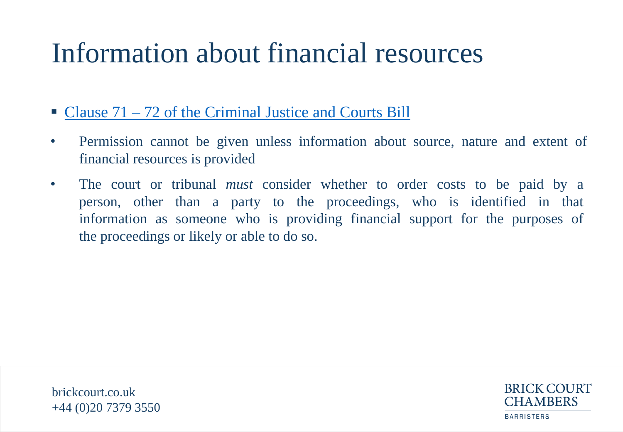## Information about financial resources

- [Clause](http://www.publications.parliament.uk/pa/bills/lbill/2014-2015/0043/lbill_2014-20150043_en_8.htm) [71](http://www.publications.parliament.uk/pa/bills/lbill/2014-2015/0043/lbill_2014-20150043_en_8.htm) [–](http://www.publications.parliament.uk/pa/bills/lbill/2014-2015/0043/lbill_2014-20150043_en_8.htm) [72](http://www.publications.parliament.uk/pa/bills/lbill/2014-2015/0043/lbill_2014-20150043_en_8.htm) [of](http://www.publications.parliament.uk/pa/bills/lbill/2014-2015/0043/lbill_2014-20150043_en_8.htm) [the](http://www.publications.parliament.uk/pa/bills/lbill/2014-2015/0043/lbill_2014-20150043_en_8.htm) [Criminal](http://www.publications.parliament.uk/pa/bills/lbill/2014-2015/0043/lbill_2014-20150043_en_8.htm) [Justice](http://www.publications.parliament.uk/pa/bills/lbill/2014-2015/0043/lbill_2014-20150043_en_8.htm) [and](http://www.publications.parliament.uk/pa/bills/lbill/2014-2015/0043/lbill_2014-20150043_en_8.htm) [Courts](http://www.publications.parliament.uk/pa/bills/lbill/2014-2015/0043/lbill_2014-20150043_en_8.htm) [Bill](http://www.publications.parliament.uk/pa/bills/lbill/2014-2015/0043/lbill_2014-20150043_en_8.htm)
- Permission cannot be given unless information about source, nature and extent of financial resources is provided
- The court or tribunal *must* consider whether to order costs to be paid by a person, other than a party to the proceedings, who is identified in that information as someone who is providing financial support for the purposes of the proceedings or likely or able to do so.



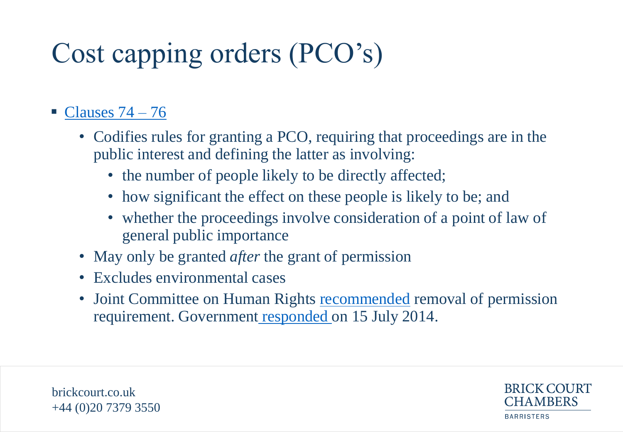# Cost capping orders (PCO's)

#### $\blacksquare$  [Clauses](http://www.publications.parliament.uk/pa/bills/lbill/2014-2015/0043/lbill_2014-20150043_en_9.htm) [74](http://www.publications.parliament.uk/pa/bills/lbill/2014-2015/0043/lbill_2014-20150043_en_9.htm) [–](http://www.publications.parliament.uk/pa/bills/lbill/2014-2015/0043/lbill_2014-20150043_en_9.htm) [76](http://www.publications.parliament.uk/pa/bills/lbill/2014-2015/0043/lbill_2014-20150043_en_9.htm)

- Codifies rules for granting a PCO, requiring that proceedings are in the public interest and defining the latter as involving:
	- the number of people likely to be directly affected;
	- how significant the effect on these people is likely to be; and
	- whether the proceedings involve consideration of a point of law of general public importance
- May only be granted *after* the grant of permission
- Excludes environmental cases
- Joint Committee on Hum[a](http://www.parliament.uk/documents/joint-committees/human-rights/Cm8896_Draft JCHR Response_110714_FINAL_WEB.PDF)n Rights [recommended](http://www.publications.parliament.uk/pa/jt201314/jtselect/jtrights/174/17408.htm) removal of permission requirement. Government [responded](http://www.parliament.uk/documents/joint-committees/human-rights/Cm8896_Draft JCHR Response_110714_FINAL_WEB.PDF) on 15 July 2014.